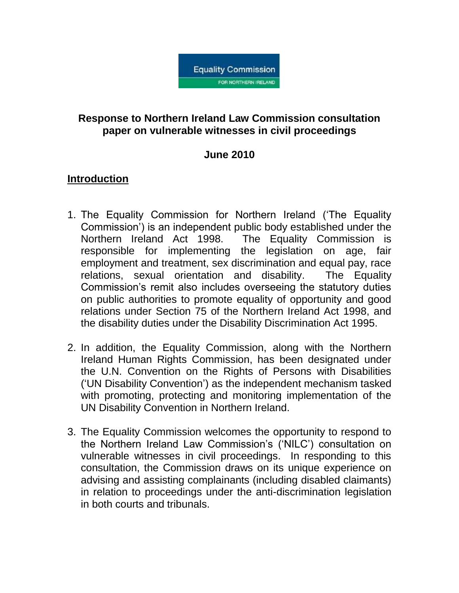

## **Response to Northern Ireland Law Commission consultation paper on vulnerable witnesses in civil proceedings**

## **June 2010**

## **Introduction**

- 1. The Equality Commission for Northern Ireland ('The Equality Commission') is an independent public body established under the Northern Ireland Act 1998. The Equality Commission is responsible for implementing the legislation on age, fair employment and treatment, sex discrimination and equal pay, race relations, sexual orientation and disability. The Equality Commission's remit also includes overseeing the statutory duties on public authorities to promote equality of opportunity and good relations under Section 75 of the Northern Ireland Act 1998, and the disability duties under the Disability Discrimination Act 1995.
- 2. In addition, the Equality Commission, along with the Northern Ireland Human Rights Commission, has been designated under the U.N. Convention on the Rights of Persons with Disabilities ('UN Disability Convention') as the independent mechanism tasked with promoting, protecting and monitoring implementation of the UN Disability Convention in Northern Ireland.
- 3. The Equality Commission welcomes the opportunity to respond to the Northern Ireland Law Commission's ('NILC') consultation on vulnerable witnesses in civil proceedings. In responding to this consultation, the Commission draws on its unique experience on advising and assisting complainants (including disabled claimants) in relation to proceedings under the anti-discrimination legislation in both courts and tribunals.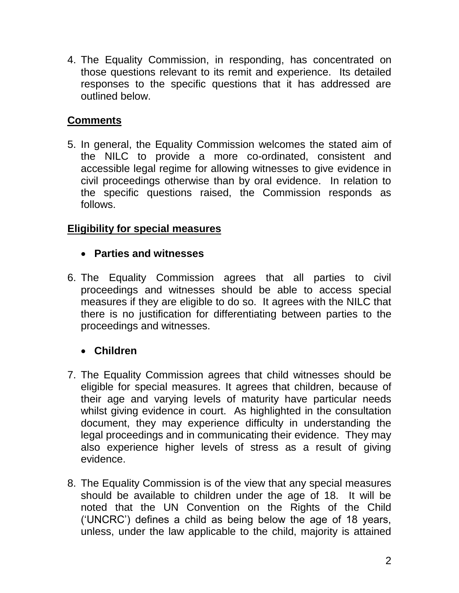4. The Equality Commission, in responding, has concentrated on those questions relevant to its remit and experience. Its detailed responses to the specific questions that it has addressed are outlined below.

# **Comments**

5. In general, the Equality Commission welcomes the stated aim of the NILC to provide a more co-ordinated, consistent and accessible legal regime for allowing witnesses to give evidence in civil proceedings otherwise than by oral evidence. In relation to the specific questions raised, the Commission responds as follows.

# **Eligibility for special measures**

# **Parties and witnesses**

6. The Equality Commission agrees that all parties to civil proceedings and witnesses should be able to access special measures if they are eligible to do so. It agrees with the NILC that there is no justification for differentiating between parties to the proceedings and witnesses.

# **Children**

- 7. The Equality Commission agrees that child witnesses should be eligible for special measures. It agrees that children, because of their age and varying levels of maturity have particular needs whilst giving evidence in court. As highlighted in the consultation document, they may experience difficulty in understanding the legal proceedings and in communicating their evidence. They may also experience higher levels of stress as a result of giving evidence.
- 8. The Equality Commission is of the view that any special measures should be available to children under the age of 18. It will be noted that the UN Convention on the Rights of the Child ('UNCRC') defines a child as being below the age of 18 years, unless, under the law applicable to the child, majority is attained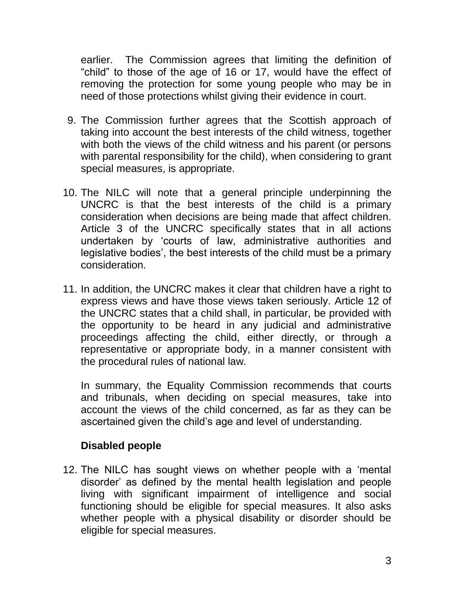earlier. The Commission agrees that limiting the definition of "child" to those of the age of 16 or 17, would have the effect of removing the protection for some young people who may be in need of those protections whilst giving their evidence in court.

- 9. The Commission further agrees that the Scottish approach of taking into account the best interests of the child witness, together with both the views of the child witness and his parent (or persons with parental responsibility for the child), when considering to grant special measures, is appropriate.
- 10. The NILC will note that a general principle underpinning the UNCRC is that the best interests of the child is a primary consideration when decisions are being made that affect children. Article 3 of the UNCRC specifically states that in all actions undertaken by 'courts of law, administrative authorities and legislative bodies', the best interests of the child must be a primary consideration.
- 11. In addition, the UNCRC makes it clear that children have a right to express views and have those views taken seriously. Article 12 of the UNCRC states that a child shall, in particular, be provided with the opportunity to be heard in any judicial and administrative proceedings affecting the child, either directly, or through a representative or appropriate body, in a manner consistent with the procedural rules of national law.

In summary, the Equality Commission recommends that courts and tribunals, when deciding on special measures, take into account the views of the child concerned, as far as they can be ascertained given the child's age and level of understanding.

#### **Disabled people**

12. The NILC has sought views on whether people with a 'mental disorder' as defined by the mental health legislation and people living with significant impairment of intelligence and social functioning should be eligible for special measures. It also asks whether people with a physical disability or disorder should be eligible for special measures.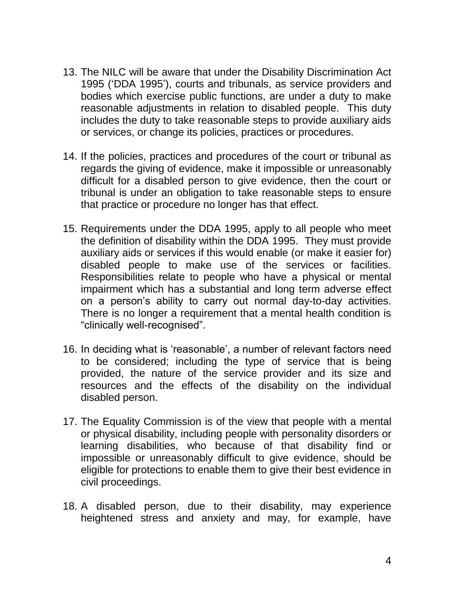- 13. The NILC will be aware that under the Disability Discrimination Act 1995 ('DDA 1995'), courts and tribunals, as service providers and bodies which exercise public functions, are under a duty to make reasonable adjustments in relation to disabled people. This duty includes the duty to take reasonable steps to provide auxiliary aids or services, or change its policies, practices or procedures.
- 14. If the policies, practices and procedures of the court or tribunal as regards the giving of evidence, make it impossible or unreasonably difficult for a disabled person to give evidence, then the court or tribunal is under an obligation to take reasonable steps to ensure that practice or procedure no longer has that effect.
- 15. Requirements under the DDA 1995, apply to all people who meet the definition of disability within the DDA 1995. They must provide auxiliary aids or services if this would enable (or make it easier for) disabled people to make use of the services or facilities. Responsibilities relate to people who have a physical or mental impairment which has a substantial and long term adverse effect on a person's ability to carry out normal day-to-day activities. There is no longer a requirement that a mental health condition is "clinically well-recognised".
- 16. In deciding what is 'reasonable', a number of relevant factors need to be considered; including the type of service that is being provided, the nature of the service provider and its size and resources and the effects of the disability on the individual disabled person.
- 17. The Equality Commission is of the view that people with a mental or physical disability, including people with personality disorders or learning disabilities, who because of that disability find or impossible or unreasonably difficult to give evidence, should be eligible for protections to enable them to give their best evidence in civil proceedings.
- 18. A disabled person, due to their disability, may experience heightened stress and anxiety and may, for example, have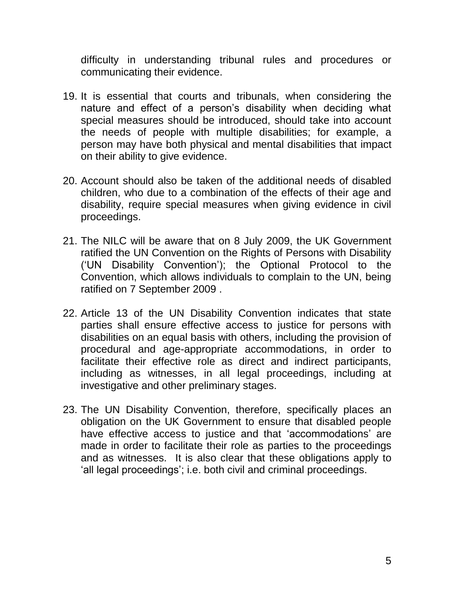difficulty in understanding tribunal rules and procedures or communicating their evidence.

- 19. It is essential that courts and tribunals, when considering the nature and effect of a person's disability when deciding what special measures should be introduced, should take into account the needs of people with multiple disabilities; for example, a person may have both physical and mental disabilities that impact on their ability to give evidence.
- 20. Account should also be taken of the additional needs of disabled children, who due to a combination of the effects of their age and disability, require special measures when giving evidence in civil proceedings.
- 21. The NILC will be aware that on 8 July 2009, the UK Government ratified the UN Convention on the Rights of Persons with Disability ('UN Disability Convention'); the Optional Protocol to the Convention, which allows individuals to complain to the UN, being ratified on 7 September 2009 .
- 22. Article 13 of the UN Disability Convention indicates that state parties shall ensure effective access to justice for persons with disabilities on an equal basis with others, including the provision of procedural and age-appropriate accommodations, in order to facilitate their effective role as direct and indirect participants, including as witnesses, in all legal proceedings, including at investigative and other preliminary stages.
- 23. The UN Disability Convention, therefore, specifically places an obligation on the UK Government to ensure that disabled people have effective access to justice and that 'accommodations' are made in order to facilitate their role as parties to the proceedings and as witnesses. It is also clear that these obligations apply to 'all legal proceedings'; i.e. both civil and criminal proceedings.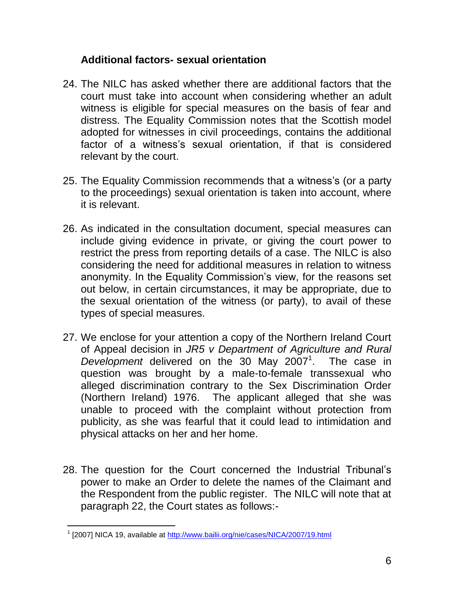#### **Additional factors- sexual orientation**

- 24. The NILC has asked whether there are additional factors that the court must take into account when considering whether an adult witness is eligible for special measures on the basis of fear and distress. The Equality Commission notes that the Scottish model adopted for witnesses in civil proceedings, contains the additional factor of a witness's sexual orientation, if that is considered relevant by the court.
- 25. The Equality Commission recommends that a witness's (or a party to the proceedings) sexual orientation is taken into account, where it is relevant.
- 26. As indicated in the consultation document, special measures can include giving evidence in private, or giving the court power to restrict the press from reporting details of a case. The NILC is also considering the need for additional measures in relation to witness anonymity. In the Equality Commission's view, for the reasons set out below, in certain circumstances, it may be appropriate, due to the sexual orientation of the witness (or party), to avail of these types of special measures.
- 27. We enclose for your attention a copy of the Northern Ireland Court of Appeal decision in *JR5 v Department of Agriculture and Rural*  Development delivered on the 30 May 2007<sup>1</sup>. The case in question was brought by a male-to-female transsexual who alleged discrimination contrary to the Sex Discrimination Order (Northern Ireland) 1976. The applicant alleged that she was unable to proceed with the complaint without protection from publicity, as she was fearful that it could lead to intimidation and physical attacks on her and her home.
- 28. The question for the Court concerned the Industrial Tribunal's power to make an Order to delete the names of the Claimant and the Respondent from the public register. The NILC will note that at paragraph 22, the Court states as follows:-

 <sup>1</sup> [2007] NICA 19, available at<http://www.bailii.org/nie/cases/NICA/2007/19.html>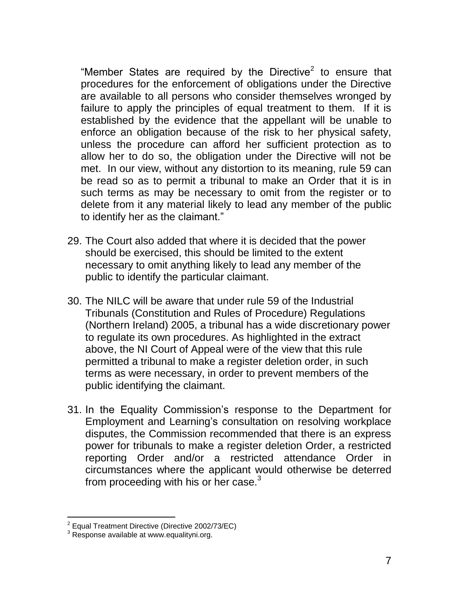"Member States are required by the Directive<sup>2</sup> to ensure that procedures for the enforcement of obligations under the Directive are available to all persons who consider themselves wronged by failure to apply the principles of equal treatment to them. If it is established by the evidence that the appellant will be unable to enforce an obligation because of the risk to her physical safety, unless the procedure can afford her sufficient protection as to allow her to do so, the obligation under the Directive will not be met. In our view, without any distortion to its meaning, rule 59 can be read so as to permit a tribunal to make an Order that it is in such terms as may be necessary to omit from the register or to delete from it any material likely to lead any member of the public to identify her as the claimant."

- 29. The Court also added that where it is decided that the power should be exercised, this should be limited to the extent necessary to omit anything likely to lead any member of the public to identify the particular claimant.
- 30. The NILC will be aware that under rule 59 of the Industrial Tribunals (Constitution and Rules of Procedure) Regulations (Northern Ireland) 2005, a tribunal has a wide discretionary power to regulate its own procedures. As highlighted in the extract above, the NI Court of Appeal were of the view that this rule permitted a tribunal to make a register deletion order, in such terms as were necessary, in order to prevent members of the public identifying the claimant.
- 31. In the Equality Commission's response to the Department for Employment and Learning's consultation on resolving workplace disputes, the Commission recommended that there is an express power for tribunals to make a register deletion Order, a restricted reporting Order and/or a restricted attendance Order in circumstances where the applicant would otherwise be deterred from proceeding with his or her case. $3$

 2 Equal Treatment Directive (Directive 2002/73/EC)

 $3$  Response available at www.equalityni.org.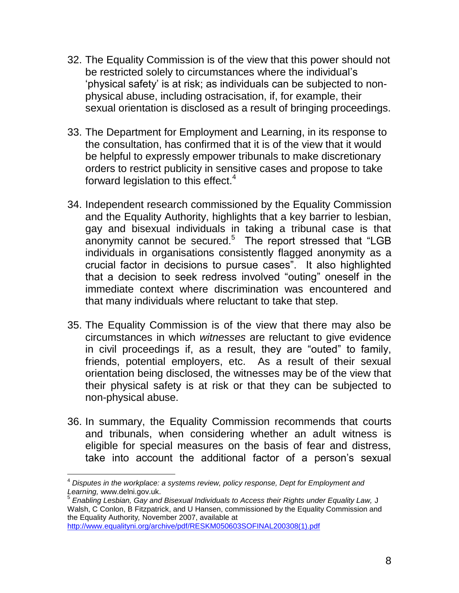- 32. The Equality Commission is of the view that this power should not be restricted solely to circumstances where the individual's 'physical safety' is at risk; as individuals can be subjected to nonphysical abuse, including ostracisation, if, for example, their sexual orientation is disclosed as a result of bringing proceedings.
- 33. The Department for Employment and Learning, in its response to the consultation, has confirmed that it is of the view that it would be helpful to expressly empower tribunals to make discretionary orders to restrict publicity in sensitive cases and propose to take forward legislation to this effect.<sup>4</sup>
- 34. Independent research commissioned by the Equality Commission and the Equality Authority, highlights that a key barrier to lesbian, gay and bisexual individuals in taking a tribunal case is that anonymity cannot be secured.<sup>5</sup> The report stressed that "LGB individuals in organisations consistently flagged anonymity as a crucial factor in decisions to pursue cases". It also highlighted that a decision to seek redress involved "outing" oneself in the immediate context where discrimination was encountered and that many individuals where reluctant to take that step.
- 35. The Equality Commission is of the view that there may also be circumstances in which *witnesses* are reluctant to give evidence in civil proceedings if, as a result, they are "outed" to family, friends, potential employers, etc. As a result of their sexual orientation being disclosed, the witnesses may be of the view that their physical safety is at risk or that they can be subjected to non-physical abuse.
- 36. In summary, the Equality Commission recommends that courts and tribunals, when considering whether an adult witness is eligible for special measures on the basis of fear and distress, take into account the additional factor of a person's sexual

[http://www.equalityni.org/archive/pdf/RESKM050603SOFINAL200308\(1\).pdf](http://www.equalityni.org/archive/pdf/RESKM050603SOFINAL200308(1).pdf)

 $\overline{1}$ <sup>4</sup> *Disputes in the workplace: a systems review, policy response, Dept for Employment and Learning,* www.delni.gov.uk.

<sup>5</sup> *Enabling Lesbian, Gay and Bisexual Individuals to Access their Rights under Equality Law,* J Walsh, C Conlon, B Fitzpatrick, and U Hansen, commissioned by the Equality Commission and the Equality Authority*,* November 2007, available at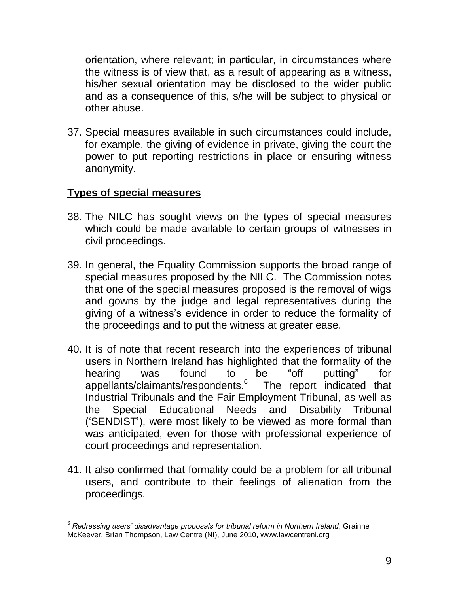orientation, where relevant; in particular, in circumstances where the witness is of view that, as a result of appearing as a witness, his/her sexual orientation may be disclosed to the wider public and as a consequence of this, s/he will be subject to physical or other abuse.

37. Special measures available in such circumstances could include, for example, the giving of evidence in private, giving the court the power to put reporting restrictions in place or ensuring witness anonymity.

#### **Types of special measures**

l

- 38. The NILC has sought views on the types of special measures which could be made available to certain groups of witnesses in civil proceedings.
- 39. In general, the Equality Commission supports the broad range of special measures proposed by the NILC. The Commission notes that one of the special measures proposed is the removal of wigs and gowns by the judge and legal representatives during the giving of a witness's evidence in order to reduce the formality of the proceedings and to put the witness at greater ease.
- 40. It is of note that recent research into the experiences of tribunal users in Northern Ireland has highlighted that the formality of the hearing was found to be "off putting" for appellants/claimants/respondents.<sup>6</sup> The report indicated that Industrial Tribunals and the Fair Employment Tribunal, as well as the Special Educational Needs and Disability Tribunal ('SENDIST'), were most likely to be viewed as more formal than was anticipated, even for those with professional experience of court proceedings and representation.
- 41. It also confirmed that formality could be a problem for all tribunal users, and contribute to their feelings of alienation from the proceedings.

<sup>6</sup> *Redressing users' disadvantage proposals for tribunal reform in Northern Ireland*, Grainne McKeever, Brian Thompson, Law Centre (NI), June 2010, www.lawcentreni.org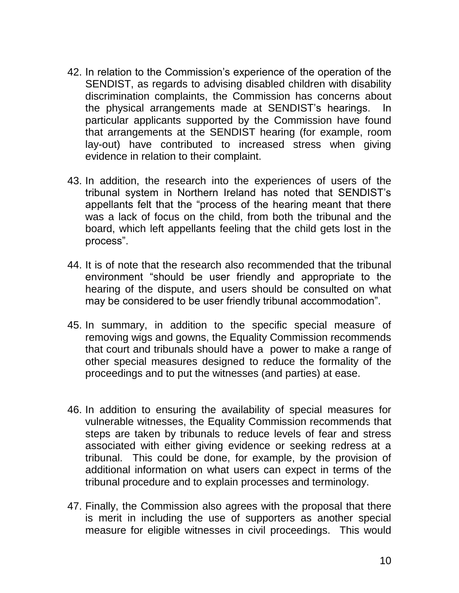- 42. In relation to the Commission's experience of the operation of the SENDIST, as regards to advising disabled children with disability discrimination complaints, the Commission has concerns about the physical arrangements made at SENDIST's hearings. In particular applicants supported by the Commission have found that arrangements at the SENDIST hearing (for example, room lay-out) have contributed to increased stress when giving evidence in relation to their complaint.
- 43. In addition, the research into the experiences of users of the tribunal system in Northern Ireland has noted that SENDIST's appellants felt that the "process of the hearing meant that there was a lack of focus on the child, from both the tribunal and the board, which left appellants feeling that the child gets lost in the process".
- 44. It is of note that the research also recommended that the tribunal environment "should be user friendly and appropriate to the hearing of the dispute, and users should be consulted on what may be considered to be user friendly tribunal accommodation".
- 45. In summary, in addition to the specific special measure of removing wigs and gowns, the Equality Commission recommends that court and tribunals should have a power to make a range of other special measures designed to reduce the formality of the proceedings and to put the witnesses (and parties) at ease.
- 46. In addition to ensuring the availability of special measures for vulnerable witnesses, the Equality Commission recommends that steps are taken by tribunals to reduce levels of fear and stress associated with either giving evidence or seeking redress at a tribunal. This could be done, for example, by the provision of additional information on what users can expect in terms of the tribunal procedure and to explain processes and terminology.
- 47. Finally, the Commission also agrees with the proposal that there is merit in including the use of supporters as another special measure for eligible witnesses in civil proceedings. This would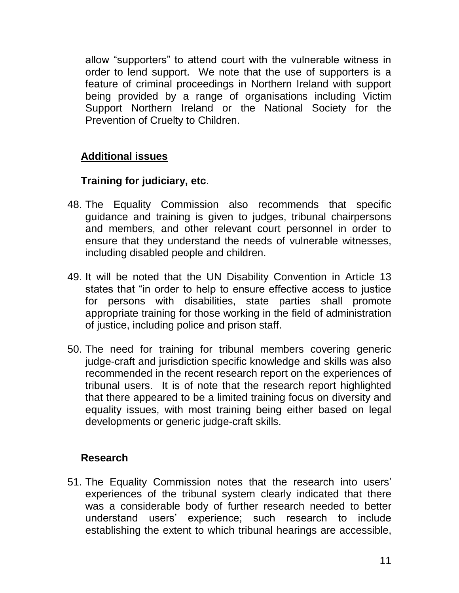allow "supporters" to attend court with the vulnerable witness in order to lend support. We note that the use of supporters is a feature of criminal proceedings in Northern Ireland with support being provided by a range of organisations including Victim Support Northern Ireland or the National Society for the Prevention of Cruelty to Children.

# **Additional issues**

## **Training for judiciary, etc**.

- 48. The Equality Commission also recommends that specific guidance and training is given to judges, tribunal chairpersons and members, and other relevant court personnel in order to ensure that they understand the needs of vulnerable witnesses, including disabled people and children.
- 49. It will be noted that the UN Disability Convention in Article 13 states that "in order to help to ensure effective access to justice for persons with disabilities, state parties shall promote appropriate training for those working in the field of administration of justice, including police and prison staff.
- 50. The need for training for tribunal members covering generic judge-craft and jurisdiction specific knowledge and skills was also recommended in the recent research report on the experiences of tribunal users. It is of note that the research report highlighted that there appeared to be a limited training focus on diversity and equality issues, with most training being either based on legal developments or generic judge-craft skills.

#### **Research**

51. The Equality Commission notes that the research into users' experiences of the tribunal system clearly indicated that there was a considerable body of further research needed to better understand users' experience; such research to include establishing the extent to which tribunal hearings are accessible,